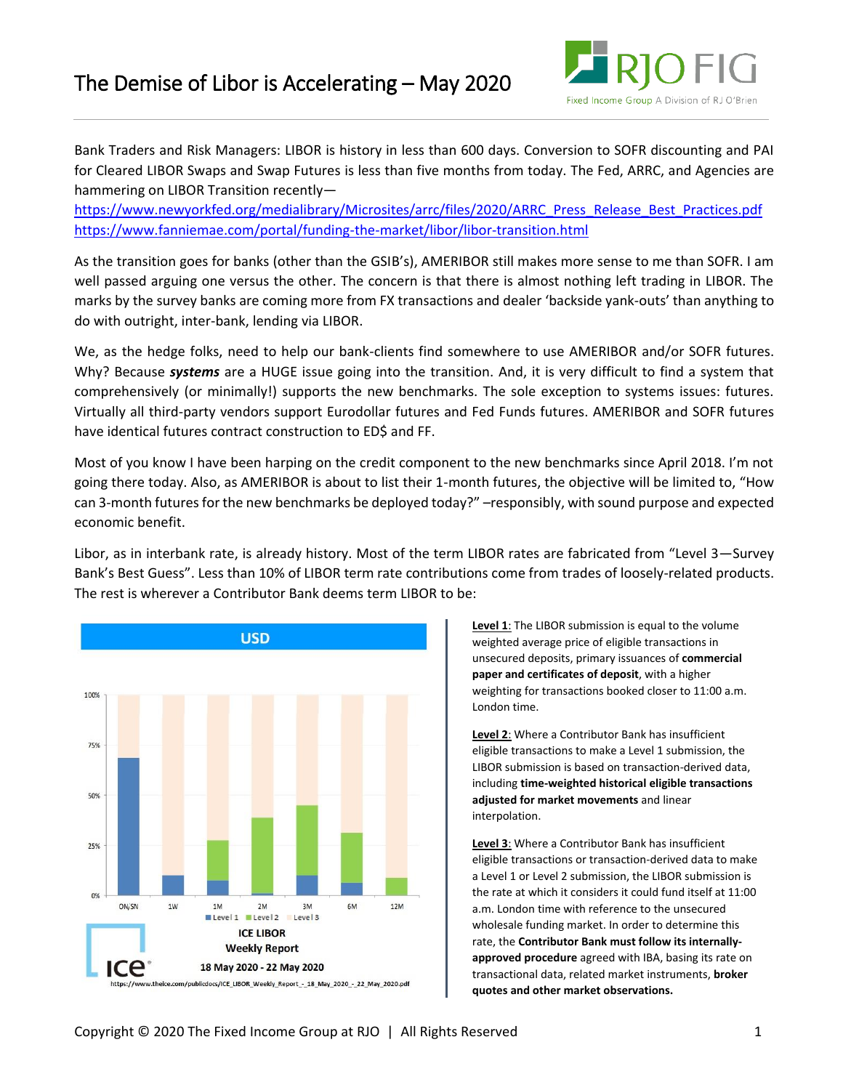

Bank Traders and Risk Managers: LIBOR is history in less than 600 days. Conversion to SOFR discounting and PAI for Cleared LIBOR Swaps and Swap Futures is less than five months from today. The Fed, ARRC, and Agencies are hammering on LIBOR Transition recently—

[https://www.newyorkfed.org/medialibrary/Microsites/arrc/files/2020/ARRC\\_Press\\_Release\\_Best\\_Practices.pdf](https://www.newyorkfed.org/medialibrary/Microsites/arrc/files/2020/ARRC_Press_Release_Best_Practices.pdf)  <https://www.fanniemae.com/portal/funding-the-market/libor/libor-transition.html>

As the transition goes for banks (other than the GSIB's), AMERIBOR still makes more sense to me than SOFR. I am well passed arguing one versus the other. The concern is that there is almost nothing left trading in LIBOR. The marks by the survey banks are coming more from FX transactions and dealer 'backside yank-outs' than anything to do with outright, inter-bank, lending via LIBOR.

We, as the hedge folks, need to help our bank-clients find somewhere to use AMERIBOR and/or SOFR futures. Why? Because *systems* are a HUGE issue going into the transition. And, it is very difficult to find a system that comprehensively (or minimally!) supports the new benchmarks. The sole exception to systems issues: futures. Virtually all third-party vendors support Eurodollar futures and Fed Funds futures. AMERIBOR and SOFR futures have identical futures contract construction to ED\$ and FF.

Most of you know I have been harping on the credit component to the new benchmarks since April 2018. I'm not going there today. Also, as AMERIBOR is about to list their 1-month futures, the objective will be limited to, "How can 3-month futures for the new benchmarks be deployed today?" –responsibly, with sound purpose and expected economic benefit.

Libor, as in interbank rate, is already history. Most of the term LIBOR rates are fabricated from "Level 3—Survey Bank's Best Guess". Less than 10% of LIBOR term rate contributions come from trades of loosely-related products. The rest is wherever a Contributor Bank deems term LIBOR to be:



**Level 1**: The LIBOR submission is equal to the volume weighted average price of eligible transactions in unsecured deposits, primary issuances of **commercial paper and certificates of deposit**, with a higher weighting for transactions booked closer to 11:00 a.m. London time.

**Level 2**: Where a Contributor Bank has insufficient eligible transactions to make a Level 1 submission, the LIBOR submission is based on transaction-derived data, including **time-weighted historical eligible transactions adjusted for market movements** and linear interpolation.

**Level 3**: Where a Contributor Bank has insufficient eligible transactions or transaction-derived data to make a Level 1 or Level 2 submission, the LIBOR submission is the rate at which it considers it could fund itself at 11:00 a.m. London time with reference to the unsecured wholesale funding market. In order to determine this rate, the **Contributor Bank must follow its internallyapproved procedure** agreed with IBA, basing its rate on transactional data, related market instruments, **broker quotes and other market observations.**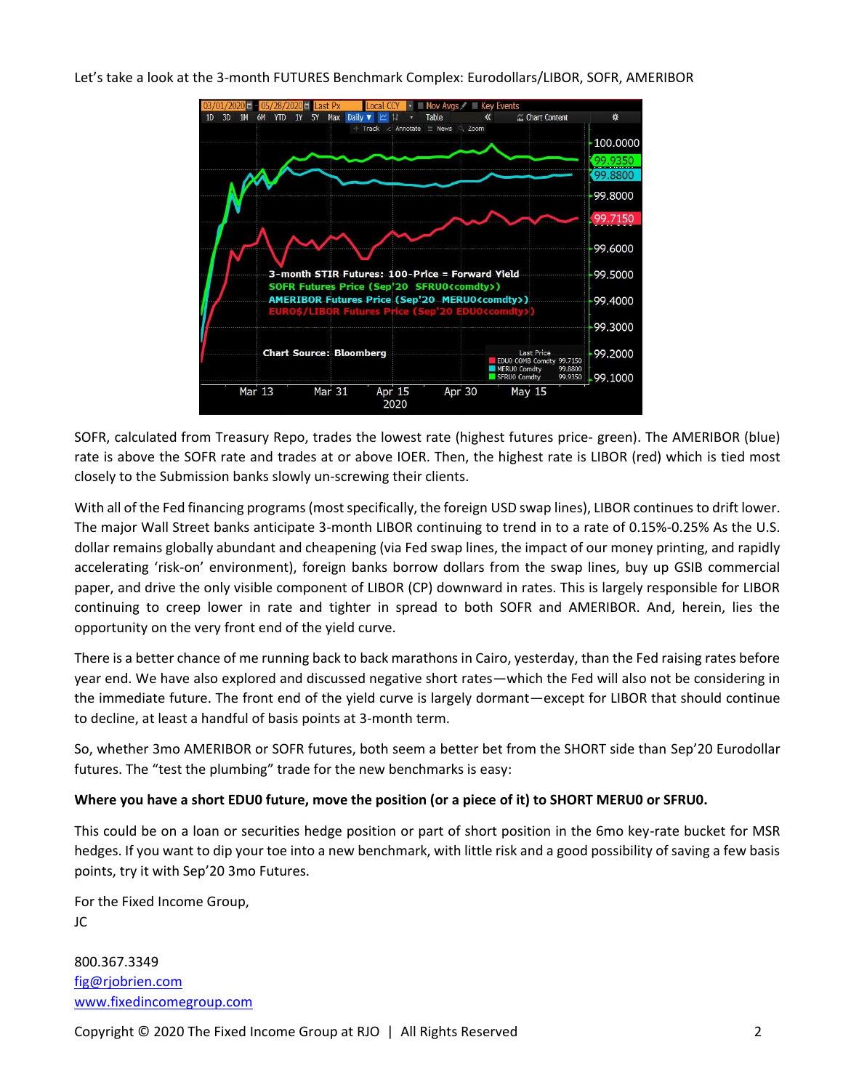

SOFR, calculated from Treasury Repo, trades the lowest rate (highest futures price- green). The AMERIBOR (blue) rate is above the SOFR rate and trades at or above IOER. Then, the highest rate is LIBOR (red) which is tied most closely to the Submission banks slowly un-screwing their clients.

With all of the Fed financing programs (most specifically, the foreign USD swap lines), LIBOR continues to drift lower. The major Wall Street banks anticipate 3-month LIBOR continuing to trend in to a rate of 0.15%-0.25% As the U.S. dollar remains globally abundant and cheapening (via Fed swap lines, the impact of our money printing, and rapidly accelerating 'risk-on' environment), foreign banks borrow dollars from the swap lines, buy up GSIB commercial paper, and drive the only visible component of LIBOR (CP) downward in rates. This is largely responsible for LIBOR continuing to creep lower in rate and tighter in spread to both SOFR and AMERIBOR. And, herein, lies the opportunity on the very front end of the yield curve.

There is a better chance of me running back to back marathons in Cairo, yesterday, than the Fed raising rates before year end. We have also explored and discussed negative short rates—which the Fed will also not be considering in the immediate future. The front end of the yield curve is largely dormant—except for LIBOR that should continue to decline, at least a handful of basis points at 3-month term.

So, whether 3mo AMERIBOR or SOFR futures, both seem a better bet from the SHORT side than Sep'20 Eurodollar futures. The "test the plumbing" trade for the new benchmarks is easy:

## **Where you have a short EDU0 future, move the position (or a piece of it) to SHORT MERU0 or SFRU0.**

This could be on a loan or securities hedge position or part of short position in the 6mo key-rate bucket for MSR hedges. If you want to dip your toe into a new benchmark, with little risk and a good possibility of saving a few basis points, try it with Sep'20 3mo Futures.

For the Fixed Income Group, JC

800.367.3349 [fig@rjobrien.com](mailto:fig@rjobrien.com) [www.fixedincomegroup.com](http://www.fixedincomegroup.com/)